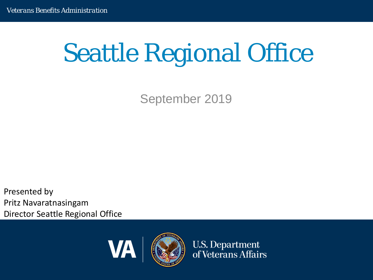# Seattle Regional Office

September 2019

**Director Seattle Regional Office** Presented by Pritz Navaratnasingam



**U.S. Department** of Veterans Affairs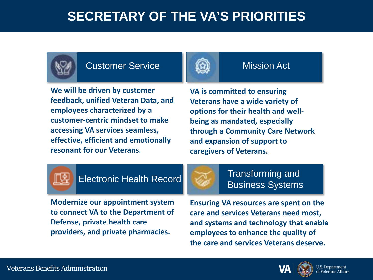### **SECRETARY OF THE VA'S PRIORITIES**



#### Customer Service



#### Mission Act

**We will be driven by customer feedback, unified Veteran Data, and employees characterized by a customer-centric mindset to make accessing VA services seamless, effective, efficient and emotionally resonant for our Veterans.** 

**VA is committed to ensuring Veterans have a wide variety of options for their health and wellbeing as mandated, especially through a Community Care Network and expansion of support to caregivers of Veterans.** 



### **Electronic Health Record** Transforming and



Business Systems

*Veterans Benefits Administration* **Defense, private health care Modernize our appointment system to connect VA to the Department of providers, and private pharmacies.** 

**Ensuring VA resources are spent on the care and services Veterans need most, and systems and technology that enable employees to enhance the quality of the care and services Veterans deserve.**

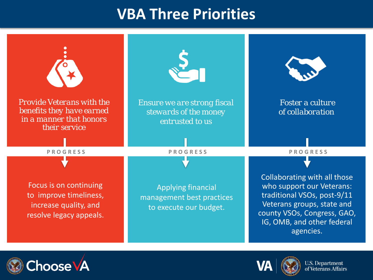## **VBA Three Priorities**





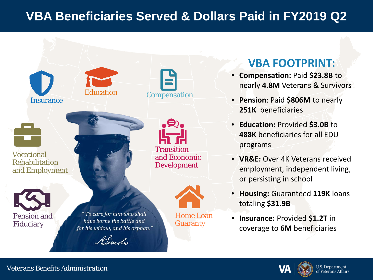### **VBA Beneficiaries Served & Dollars Paid in FY2019 Q2**



#### *Veterans Benefits Administration*

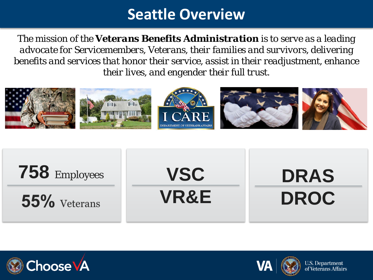# **Seattle Overview**

*The mission of the Veterans Benefits Administration is to serve as a leading advocate for Servicemembers, Veterans, their families and survivors, delivering benefits and services that honor their service, assist in their readjustment, enhance their lives, and engender their full trust.*







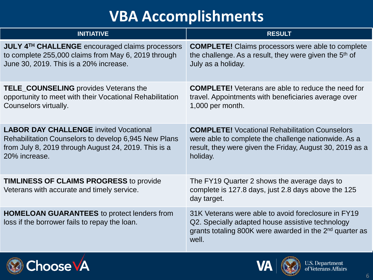# **VBA Accomplishments**

| <b>INITIATIVE</b>                                                                                   | <b>RESULT</b>                                                                                                                                                                           |
|-----------------------------------------------------------------------------------------------------|-----------------------------------------------------------------------------------------------------------------------------------------------------------------------------------------|
| JULY 4 <sup>TH</sup> CHALLENGE encouraged claims processors                                         | <b>COMPLETE!</b> Claims processors were able to complete                                                                                                                                |
| to complete 255,000 claims from May 6, 2019 through                                                 | the challenge. As a result, they were given the 5 <sup>th</sup> of                                                                                                                      |
| June 30, 2019. This is a 20% increase.                                                              | July as a holiday.                                                                                                                                                                      |
| <b>TELE_COUNSELING</b> provides Veterans the                                                        | <b>COMPLETE!</b> Veterans are able to reduce the need for                                                                                                                               |
| opportunity to meet with their Vocational Rehabilitation                                            | travel. Appointments with beneficiaries average over                                                                                                                                    |
| Counselors virtually.                                                                               | 1,000 per month.                                                                                                                                                                        |
| <b>LABOR DAY CHALLENGE</b> invited Vocational                                                       | <b>COMPLETE!</b> Vocational Rehabilitation Counselors                                                                                                                                   |
| Rehabilitation Counselors to develop 6,945 New Plans                                                | were able to complete the challenge nationwide. As a                                                                                                                                    |
| from July 8, 2019 through August 24, 2019. This is a                                                | result, they were given the Friday, August 30, 2019 as a                                                                                                                                |
| 20% increase.                                                                                       | holiday.                                                                                                                                                                                |
| <b>TIMLINESS OF CLAIMS PROGRESS to provide</b><br>Veterans with accurate and timely service.        | The FY19 Quarter 2 shows the average days to<br>complete is 127.8 days, just 2.8 days above the 125<br>day target.                                                                      |
| <b>HOMELOAN GUARANTEES</b> to protect lenders from<br>loss if the borrower fails to repay the loan. | 31K Veterans were able to avoid foreclosure in FY19<br>Q2. Specially adapted house assistive technology<br>grants totaling 800K were awarded in the 2 <sup>nd</sup> quarter as<br>well. |



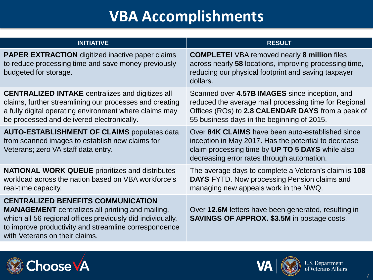# **VBA Accomplishments**

| <b>INITIATIVE</b>                                                                                                                                                                                                                                             | <b>RESULT</b>                                                                                                                                                                                              |
|---------------------------------------------------------------------------------------------------------------------------------------------------------------------------------------------------------------------------------------------------------------|------------------------------------------------------------------------------------------------------------------------------------------------------------------------------------------------------------|
| <b>PAPER EXTRACTION</b> digitized inactive paper claims<br>to reduce processing time and save money previously<br>budgeted for storage.                                                                                                                       | <b>COMPLETE!</b> VBA removed nearly 8 million files<br>across nearly 58 locations, improving processing time,<br>reducing our physical footprint and saving taxpayer<br>dollars.                           |
| <b>CENTRALIZED INTAKE</b> centralizes and digitizes all<br>claims, further streamlining our processes and creating<br>a fully digital operating environment where claims may<br>be processed and delivered electronically.                                    | Scanned over 4.57B IMAGES since inception, and<br>reduced the average mail processing time for Regional<br>Offices (ROs) to 2.8 CALENDAR DAYS from a peak of<br>55 business days in the beginning of 2015. |
| <b>AUTO-ESTABLISHMENT OF CLAIMS populates data</b><br>from scanned images to establish new claims for<br>Veterans; zero VA staff data entry.                                                                                                                  | Over 84K CLAIMS have been auto-established since<br>inception in May 2017. Has the potential to decrease<br>claim processing time by UP TO 5 DAYS while also<br>decreasing error rates through automation. |
| <b>NATIONAL WORK QUEUE</b> prioritizes and distributes<br>workload across the nation based on VBA workforce's<br>real-time capacity.                                                                                                                          | The average days to complete a Veteran's claim is 108<br><b>DAYS</b> FYTD. Now processing Pension claims and<br>managing new appeals work in the NWQ.                                                      |
| <b>CENTRALIZED BENEFITS COMMUNICATION</b><br><b>MANAGEMENT</b> centralizes all printing and mailing,<br>which all 56 regional offices previously did individually,<br>to improve productivity and streamline correspondence<br>with Veterans on their claims. | Over 12.6M letters have been generated, resulting in<br><b>SAVINGS OF APPROX. \$3.5M in postage costs.</b>                                                                                                 |
|                                                                                                                                                                                                                                                               |                                                                                                                                                                                                            |



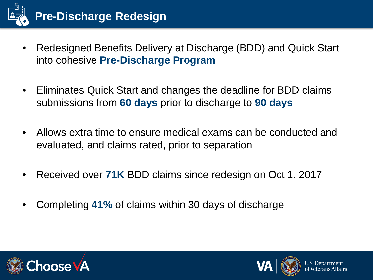

- Redesigned Benefits Delivery at Discharge (BDD) and Quick Start into cohesive **Pre-Discharge Program**
- Eliminates Quick Start and changes the deadline for BDD claims submissions from **60 days** prior to discharge to **90 days**
- Allows extra time to ensure medical exams can be conducted and evaluated, and claims rated, prior to separation
- Received over **71K** BDD claims since redesign on Oct 1. 2017
- Completing **41%** of claims within 30 days of discharge



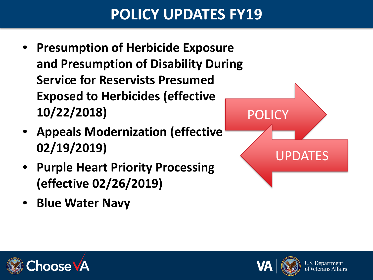## **POLICY UPDATES FY19**

- **Presumption of Herbicide Exposure and Presumption of Disability During Service for Reservists Presumed Exposed to Herbicides (effective 10/22/2018)**
- **Appeals Modernization (effective 02/19/2019)**
- **Purple Heart Priority Processing (effective 02/26/2019)**
- **Blue Water Navy**





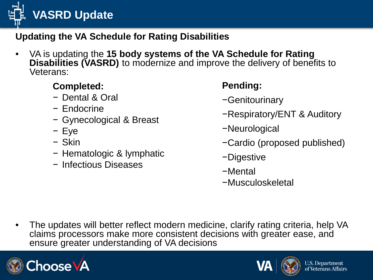**VASRD Update**

### **Updating the VA Schedule for Rating Disabilities**

• VA is updating the **15 body systems of the VA Schedule for Rating Disabilities (VASRD)** to modernize and improve the delivery of benefits to Veterans:

### **Completed:**

- − Dental & Oral
- − Endocrine
- − Gynecological & Breast
- − Eye
- − Skin
- − Hematologic & lymphatic
- − Infectious Diseases

### **Pending:**

- −Genitourinary
- −Respiratory/ENT & Auditory
- −Neurological
- −Cardio (proposed published)
- −Digestive
- −Mental
- −Musculoskeletal

• The updates will better reflect modern medicine, clarify rating criteria, help VA claims processors make more consistent decisions with greater ease, and ensure greater understanding of VA decisions



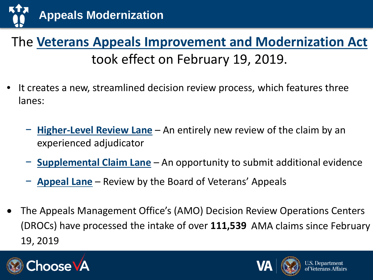

### The **Veterans Appeals Improvement and Modernization Act**  took effect on February 19, 2019.

- It creates a new, streamlined decision review process, which features three lanes:
	- − **Higher-Level Review Lane** An entirely new review of the claim by an experienced adjudicator
	- − **Supplemental Claim Lane** An opportunity to submit additional evidence
	- − **Appeal Lane** Review by the Board of Veterans' Appeals
- The Appeals Management Office's (AMO) Decision Review Operations Centers (DROCs) have processed the intake of over **111,539** AMA claims since February 19, 2019



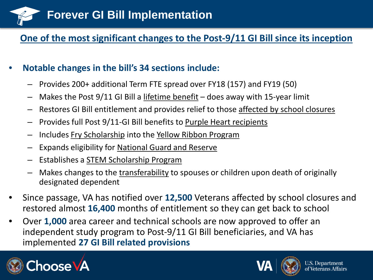

#### **One of the most significant changes to the Post-9/11 GI Bill since its inception**

#### • **Notable changes in the bill's 34 sections include:**

- Provides 200+ additional Term FTE spread over FY18 (157) and FY19 (50)
- Makes the Post 9/11 GI Bill a lifetime benefit does away with 15-year limit
- Restores GI Bill entitlement and provides relief to those affected by school closures
- Provides full Post 9/11-GI Bill benefits to Purple Heart recipients
- Includes Fry Scholarship into the Yellow Ribbon Program
- Expands eligibility for National Guard and Reserve
- Establishes a STEM Scholarship Program
- Makes changes to the transferability to spouses or children upon death of originally designated dependent
- Since passage, VA has notified over **12,500** Veterans affected by school closures and restored almost **16,400** months of entitlement so they can get back to school
- Over **1,000** area career and technical schools are now approved to offer an independent study program to Post-9/11 GI Bill beneficiaries, and VA has implemented **27 GI Bill related provisions**